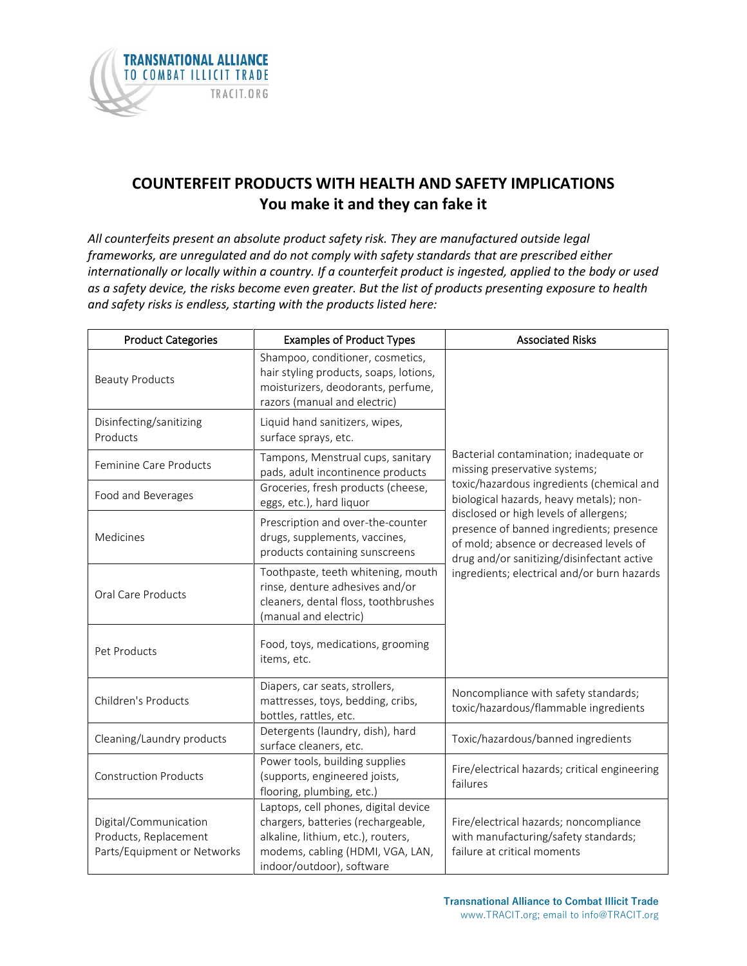

## **COUNTERFEIT PRODUCTS WITH HEALTH AND SAFETY IMPLICATIONS You make it and they can fake it**

*All counterfeits present an absolute product safety risk. They are manufactured outside legal frameworks, are unregulated and do not comply with safety standards that are prescribed either internationally or locally within a country. If a counterfeit product is ingested, applied to the body or used as a safety device, the risks become even greater. But the list of products presenting exposure to health and safety risks is endless, starting with the products listed here:*

| <b>Product Categories</b>                                                     | <b>Examples of Product Types</b>                                                                                                                                                  | <b>Associated Risks</b>                                                                                                                                                                                                                                                                                                                                                                       |
|-------------------------------------------------------------------------------|-----------------------------------------------------------------------------------------------------------------------------------------------------------------------------------|-----------------------------------------------------------------------------------------------------------------------------------------------------------------------------------------------------------------------------------------------------------------------------------------------------------------------------------------------------------------------------------------------|
| <b>Beauty Products</b>                                                        | Shampoo, conditioner, cosmetics,<br>hair styling products, soaps, lotions,<br>moisturizers, deodorants, perfume,<br>razors (manual and electric)                                  |                                                                                                                                                                                                                                                                                                                                                                                               |
| Disinfecting/sanitizing<br>Products                                           | Liquid hand sanitizers, wipes,<br>surface sprays, etc.                                                                                                                            | Bacterial contamination; inadequate or<br>missing preservative systems;<br>toxic/hazardous ingredients (chemical and<br>biological hazards, heavy metals); non-<br>disclosed or high levels of allergens;<br>presence of banned ingredients; presence<br>of mold; absence or decreased levels of<br>drug and/or sanitizing/disinfectant active<br>ingredients; electrical and/or burn hazards |
| Feminine Care Products                                                        | Tampons, Menstrual cups, sanitary<br>pads, adult incontinence products                                                                                                            |                                                                                                                                                                                                                                                                                                                                                                                               |
| Food and Beverages                                                            | Groceries, fresh products (cheese,<br>eggs, etc.), hard liquor                                                                                                                    |                                                                                                                                                                                                                                                                                                                                                                                               |
| Medicines                                                                     | Prescription and over-the-counter<br>drugs, supplements, vaccines,<br>products containing sunscreens                                                                              |                                                                                                                                                                                                                                                                                                                                                                                               |
| <b>Oral Care Products</b>                                                     | Toothpaste, teeth whitening, mouth<br>rinse, denture adhesives and/or<br>cleaners, dental floss, toothbrushes<br>(manual and electric)                                            |                                                                                                                                                                                                                                                                                                                                                                                               |
| Pet Products                                                                  | Food, toys, medications, grooming<br>items, etc.                                                                                                                                  |                                                                                                                                                                                                                                                                                                                                                                                               |
| Children's Products                                                           | Diapers, car seats, strollers,<br>mattresses, toys, bedding, cribs,<br>bottles, rattles, etc.                                                                                     | Noncompliance with safety standards;<br>toxic/hazardous/flammable ingredients                                                                                                                                                                                                                                                                                                                 |
| Cleaning/Laundry products                                                     | Detergents (laundry, dish), hard<br>surface cleaners, etc.                                                                                                                        | Toxic/hazardous/banned ingredients                                                                                                                                                                                                                                                                                                                                                            |
| <b>Construction Products</b>                                                  | Power tools, building supplies<br>(supports, engineered joists,<br>flooring, plumbing, etc.)                                                                                      | Fire/electrical hazards; critical engineering<br>failures                                                                                                                                                                                                                                                                                                                                     |
| Digital/Communication<br>Products, Replacement<br>Parts/Equipment or Networks | Laptops, cell phones, digital device<br>chargers, batteries (rechargeable,<br>alkaline, lithium, etc.), routers,<br>modems, cabling (HDMI, VGA, LAN,<br>indoor/outdoor), software | Fire/electrical hazards; noncompliance<br>with manufacturing/safety standards;<br>failure at critical moments                                                                                                                                                                                                                                                                                 |